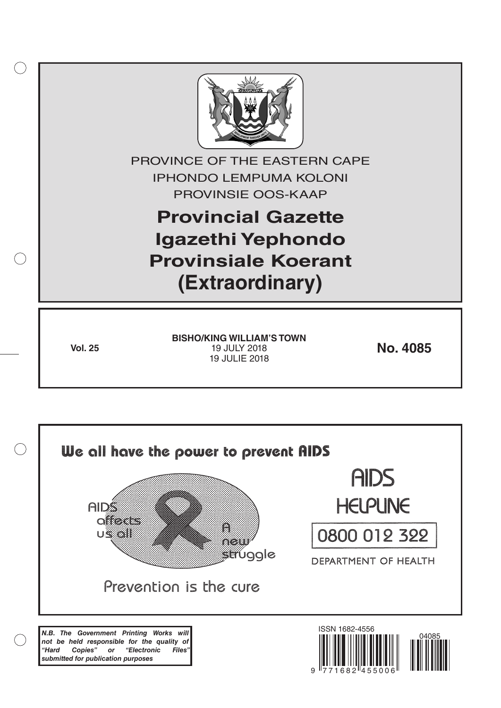

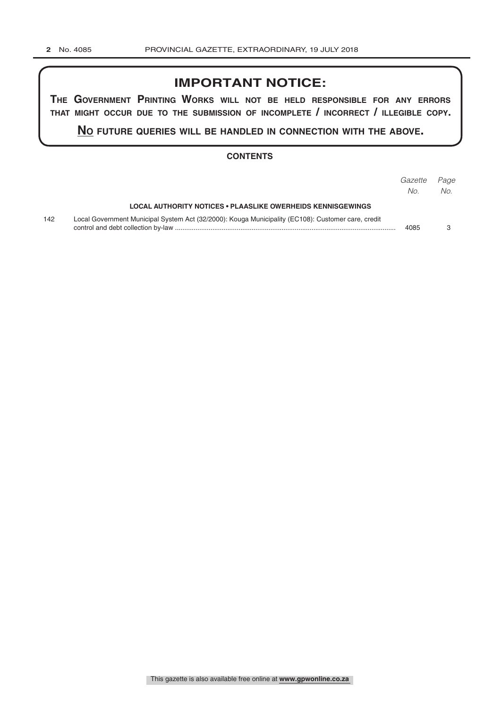# **IMPORTANT NOTICE:**

**The GovernmenT PrinTinG Works Will noT be held resPonsible for any errors ThaT miGhT occur due To The submission of incomPleTe / incorrecT / illeGible coPy.**

**no fuTure queries Will be handled in connecTion WiTh The above.**

#### **CONTENTS**

|     |                                                                                                    | Gazette<br>No. | Page<br>No. |
|-----|----------------------------------------------------------------------------------------------------|----------------|-------------|
|     | LOCAL AUTHORITY NOTICES • PLAASLIKE OWERHEIDS KENNISGEWINGS                                        |                |             |
| 142 | Local Government Municipal System Act (32/2000): Kouga Municipality (EC108): Customer care, credit | 4085           |             |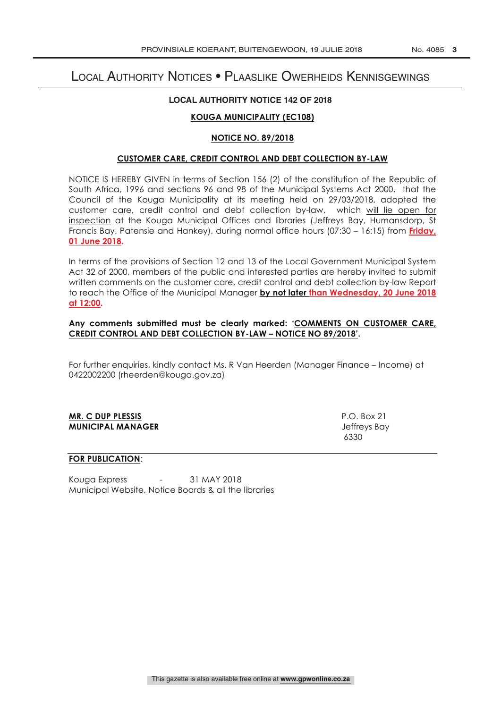# Local Authority Notices • Plaaslike Owerheids Kennisgewings

#### **LOCAL AUTHORITY NOTICE 142 OF 2018**

### **KOUGA MUNICIPALITY (EC108)**

### **NOTICE NO. 89/2018**

#### **CUSTOMER CARE, CREDIT CONTROL AND DEBT COLLECTION BY-LAW**

NOTICE IS HEREBY GIVEN in terms of Section 156 (2) of the constitution of the Republic of South Africa, 1996 and sections 96 and 98 of the Municipal Systems Act 2000, that the Council of the Kouga Municipality at its meeting held on 29/03/2018, adopted the customer care, credit control and debt collection by-law, which will lie open for inspection at the Kouga Municipal Offices and libraries (Jeffreys Bay, Humansdorp, St Francis Bay, Patensie and Hankey), during normal office hours (07:30 – 16:15) from **Friday, 01 June 2018.**

In terms of the provisions of Section 12 and 13 of the Local Government Municipal System Act 32 of 2000, members of the public and interested parties are hereby invited to submit written comments on the customer care, credit control and debt collection by-law Report to reach the Office of the Municipal Manager **by not later than Wednesday, 20 June 2018 at 12:00.**

#### **Any comments submitted must be clearly marked: 'COMMENTS ON CUSTOMER CARE, CREDIT CONTROL AND DEBT COLLECTION BY-LAW – NOTICE NO 89/2018'.**

For further enquiries, kindly contact Ms. R Van Heerden (Manager Finance – Income) at 0422002200 (rheerden@kouga.gov.za)

## **MR. C DUP PLESSIS** P.O. Box 21 **MUNICIPAL MANAGER** Jeffreys Bay

 $6330$ 

#### **FOR PUBLICATION**:

Kouga Express - 31 MAY 2018 Municipal Website, Notice Boards & all the libraries